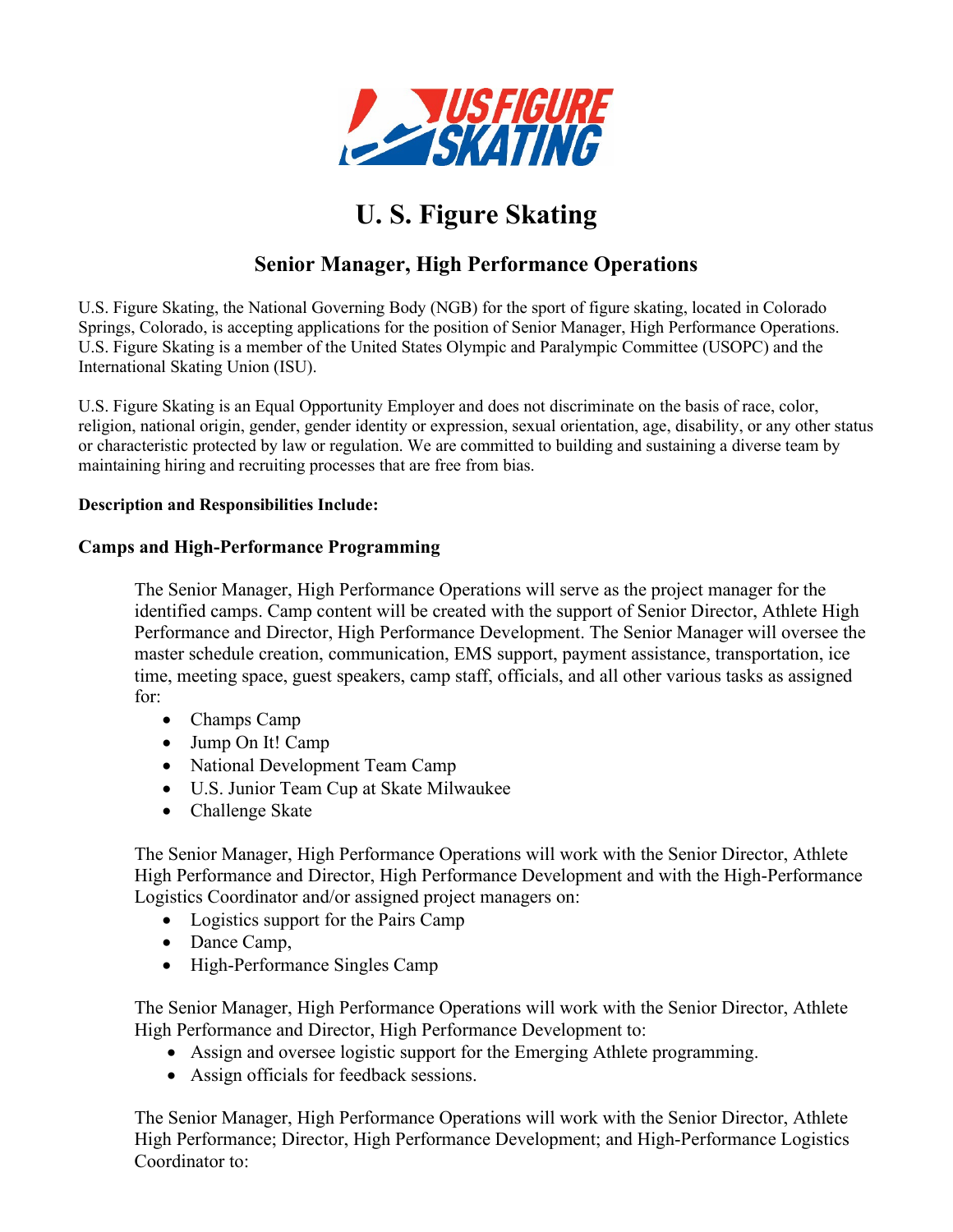

# **U. S. Figure Skating**

## **Senior Manager, High Performance Operations**

U.S. Figure Skating, the National Governing Body (NGB) for the sport of figure skating, located in Colorado Springs, Colorado, is accepting applications for the position of Senior Manager, High Performance Operations. U.S. Figure Skating is a member of the United States Olympic and Paralympic Committee (USOPC) and the International Skating Union (ISU).

U.S. Figure Skating is an Equal Opportunity Employer and does not discriminate on the basis of race, color, religion, national origin, gender, gender identity or expression, sexual orientation, age, disability, or any other status or characteristic protected by law or regulation. We are committed to building and sustaining a diverse team by maintaining hiring and recruiting processes that are free from bias.

#### **Description and Responsibilities Include:**

#### **Camps and High-Performance Programming**

The Senior Manager, High Performance Operations will serve as the project manager for the identified camps. Camp content will be created with the support of Senior Director, Athlete High Performance and Director, High Performance Development. The Senior Manager will oversee the master schedule creation, communication, EMS support, payment assistance, transportation, ice time, meeting space, guest speakers, camp staff, officials, and all other various tasks as assigned for:

- Champs Camp
- Jump On It! Camp
- National Development Team Camp
- U.S. Junior Team Cup at Skate Milwaukee
- Challenge Skate

The Senior Manager, High Performance Operations will work with the Senior Director, Athlete High Performance and Director, High Performance Development and with the High-Performance Logistics Coordinator and/or assigned project managers on:

- Logistics support for the Pairs Camp
- Dance Camp,
- High-Performance Singles Camp

The Senior Manager, High Performance Operations will work with the Senior Director, Athlete High Performance and Director, High Performance Development to:

- Assign and oversee logistic support for the Emerging Athlete programming.
- Assign officials for feedback sessions.

The Senior Manager, High Performance Operations will work with the Senior Director, Athlete High Performance; Director, High Performance Development; and High-Performance Logistics Coordinator to: